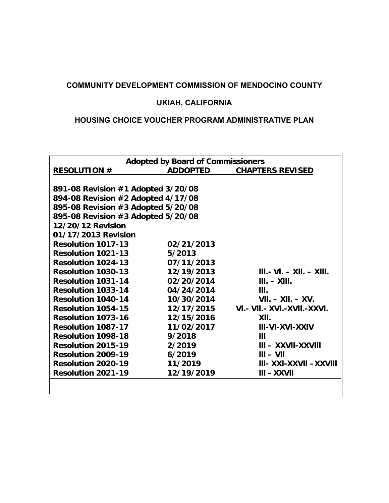# **COMMUNITY DEVELOPMENT COMMISSION OF MENDOCINO COUNTY**

# **UKIAH, CALIFORNIA**

# **HOUSING CHOICE VOUCHER PROGRAM ADMINISTRATIVE PLAN**

|                                    | <b>Adopted by Board of Commissioners</b> |                                   |
|------------------------------------|------------------------------------------|-----------------------------------|
| <b>RESOLUTION #</b>                | <b>ADDOPTED</b>                          | <b>CHAPTERS REVISED</b>           |
|                                    |                                          |                                   |
| 891-08 Revision #1 Adopted 3/20/08 |                                          |                                   |
| 894-08 Revision #2 Adopted 4/17/08 |                                          |                                   |
| 895-08 Revision #3 Adopted 5/20/08 |                                          |                                   |
| 895-08 Revision #3 Adopted 5/20/08 |                                          |                                   |
| 12/20/12 Revision                  |                                          |                                   |
| 01/17/2013 Revision                |                                          |                                   |
| <b>Resolution 1017-13</b>          | 02/21/2013                               |                                   |
| <b>Resolution 1021-13</b>          | 5/2013                                   |                                   |
| <b>Resolution 1024-13</b>          | 07/11/2013                               |                                   |
| <b>Resolution 1030-13</b>          | 12/19/2013                               | $III. - VI. - XII. - XIII.$       |
| <b>Resolution 1031-14</b>          | 02/20/2014                               | $III. - XIII.$                    |
| <b>Resolution 1033-14</b>          | 04/24/2014                               | III.                              |
| <b>Resolution 1040-14</b>          | 10/30/2014                               | $VII. - XII. - XV.$               |
| <b>Resolution 1054-15</b>          | 12/17/2015                               | VI. - VII. - XVI. - XVII. - XXVI. |
| <b>Resolution 1073-16</b>          | 12/15/2016                               | XII.                              |
| <b>Resolution 1087-17</b>          | 11/02/2017                               | <b>III-VI-XVI-XXIV</b>            |
| <b>Resolution 1098-18</b>          | 9/2018                                   | Ш                                 |
| <b>Resolution 2015-19</b>          | 2/2019                                   | $III - XXVII-XXVIII$              |
| <b>Resolution 2009-19</b>          | 6/2019                                   | $III - VII$                       |
| <b>Resolution 2020-19</b>          | 11/2019                                  | III- XXI-XXVII -XXVIII            |
| <b>Resolution 2021-19</b>          | 12/19/2019                               | III - XXVII                       |
|                                    |                                          |                                   |
|                                    |                                          |                                   |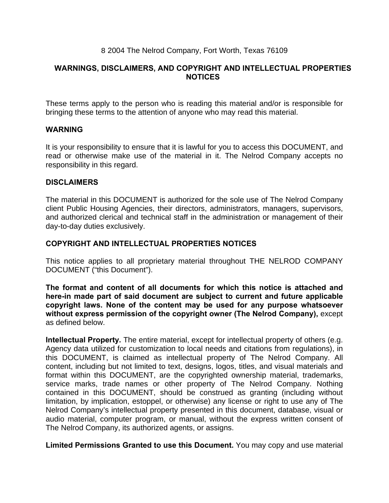## 8 2004 The Nelrod Company, Fort Worth, Texas 76109

## **WARNINGS, DISCLAIMERS, AND COPYRIGHT AND INTELLECTUAL PROPERTIES NOTICES**

These terms apply to the person who is reading this material and/or is responsible for bringing these terms to the attention of anyone who may read this material.

#### **WARNING**

It is your responsibility to ensure that it is lawful for you to access this DOCUMENT, and read or otherwise make use of the material in it. The Nelrod Company accepts no responsibility in this regard.

## **DISCLAIMERS**

The material in this DOCUMENT is authorized for the sole use of The Nelrod Company client Public Housing Agencies, their directors, administrators, managers, supervisors, and authorized clerical and technical staff in the administration or management of their day-to-day duties exclusively.

## **COPYRIGHT AND INTELLECTUAL PROPERTIES NOTICES**

This notice applies to all proprietary material throughout THE NELROD COMPANY DOCUMENT ("this Document").

**The format and content of all documents for which this notice is attached and here-in made part of said document are subject to current and future applicable copyright laws. None of the content may be used for any purpose whatsoever without express permission of the copyright owner (The Nelrod Company),** except as defined below.

**Intellectual Property.** The entire material, except for intellectual property of others (e.g. Agency data utilized for customization to local needs and citations from regulations), in this DOCUMENT, is claimed as intellectual property of The Nelrod Company. All content, including but not limited to text, designs, logos, titles, and visual materials and format within this DOCUMENT, are the copyrighted ownership material, trademarks, service marks, trade names or other property of The Nelrod Company. Nothing contained in this DOCUMENT, should be construed as granting (including without limitation, by implication, estoppel, or otherwise) any license or right to use any of The Nelrod Company's intellectual property presented in this document, database, visual or audio material, computer program, or manual, without the express written consent of The Nelrod Company, its authorized agents, or assigns.

**Limited Permissions Granted to use this Document.** You may copy and use material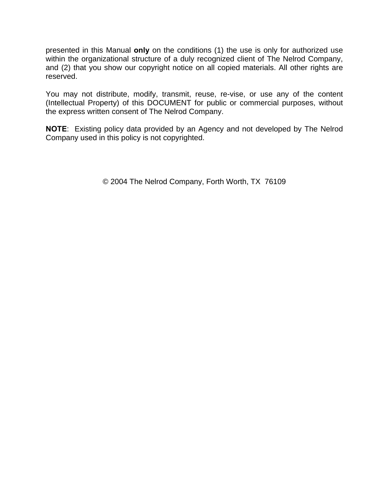presented in this Manual **only** on the conditions (1) the use is only for authorized use within the organizational structure of a duly recognized client of The Nelrod Company, and (2) that you show our copyright notice on all copied materials. All other rights are reserved.

You may not distribute, modify, transmit, reuse, re-vise, or use any of the content (Intellectual Property) of this DOCUMENT for public or commercial purposes, without the express written consent of The Nelrod Company.

**NOTE**: Existing policy data provided by an Agency and not developed by The Nelrod Company used in this policy is not copyrighted.

© 2004 The Nelrod Company, Forth Worth, TX 76109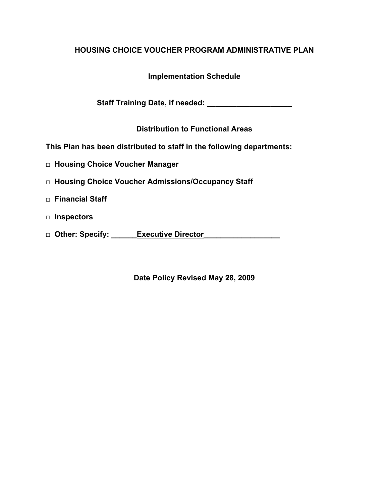# **HOUSING CHOICE VOUCHER PROGRAM ADMINISTRATIVE PLAN**

# **Implementation Schedule**

Staff Training Date, if needed:

**Distribution to Functional Areas** 

**This Plan has been distributed to staff in the following departments:** 

- **□ Housing Choice Voucher Manager**
- **□ Housing Choice Voucher Admissions/Occupancy Staff**
- **□ Financial Staff**
- **□ Inspectors**
- **□ Other: Specify: \_\_\_\_\_\_Executive Director\_\_\_\_\_\_\_\_\_\_\_\_\_\_\_\_\_\_**

**Date Policy Revised May 28, 2009**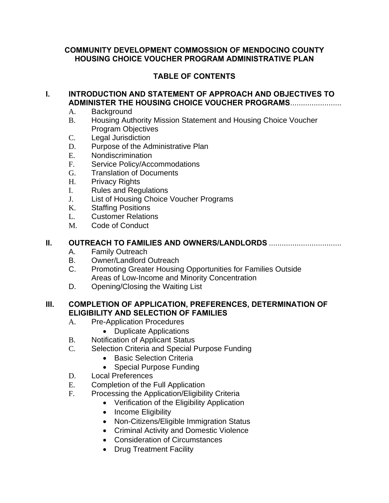## **COMMUNITY DEVELOPMENT COMMOSSION OF MENDOCINO COUNTY HOUSING CHOICE VOUCHER PROGRAM ADMINISTRATIVE PLAN**

# **TABLE OF CONTENTS**

## **I. INTRODUCTION AND STATEMENT OF APPROACH AND OBJECTIVES TO ADMINISTER THE HOUSING CHOICE VOUCHER PROGRAMS**........................

- A. Background
- B. Housing Authority Mission Statement and Housing Choice Voucher Program Objectives
- C. Legal Jurisdiction
- D. Purpose of the Administrative Plan
- E. Nondiscrimination
- F. Service Policy/Accommodations
- G. Translation of Documents
- H. Privacy Rights
- I. Rules and Regulations
- J. List of Housing Choice Voucher Programs
- K. Staffing Positions
- L. Customer Relations
- M. Code of Conduct

## **II. OUTREACH TO FAMILIES AND OWNERS/LANDLORDS** ..................................

- A. Family Outreach
- B. Owner/Landlord Outreach
- C. Promoting Greater Housing Opportunities for Families Outside Areas of Low-Income and Minority Concentration
- D. Opening/Closing the Waiting List

## **III. COMPLETION OF APPLICATION, PREFERENCES, DETERMINATION OF ELIGIBILITY AND SELECTION OF FAMILIES**

- A. Pre-Application Procedures
	- Duplicate Applications
- B. Notification of Applicant Status
- C. Selection Criteria and Special Purpose Funding
	- Basic Selection Criteria
	- Special Purpose Funding
- D. Local Preferences
- E. Completion of the Full Application
- F. Processing the Application/Eligibility Criteria
	- Verification of the Eligibility Application
	- Income Eligibility
	- Non-Citizens/Eligible Immigration Status
	- Criminal Activity and Domestic Violence
	- Consideration of Circumstances
	- Drug Treatment Facility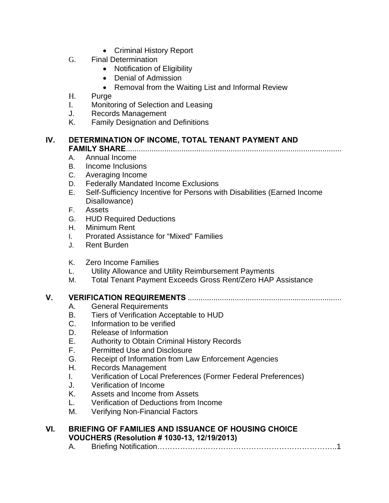- Criminal History Report
- G. Final Determination
	- Notification of Eligibility
	- Denial of Admission
	- Removal from the Waiting List and Informal Review
- H. Purge
- I. Monitoring of Selection and Leasing
- J. Records Management
- K. Family Designation and Definitions

## **IV. DETERMINATION OF INCOME, TOTAL TENANT PAYMENT AND FAMILY SHARE**.....................................................................................................

- A. Annual Income
- B. Income Inclusions
- C. Averaging Income
- D. Federally Mandated Income Exclusions
- E. Self-Sufficiency Incentive for Persons with Disabilities (Earned Income Disallowance)
- F. Assets
- G. HUD Required Deductions
- H. Minimum Rent
- I. Prorated Assistance for "Mixed" Families
- J. Rent Burden
- K. Zero Income Families
- L. Utility Allowance and Utility Reimbursement Payments
- M. Total Tenant Payment Exceeds Gross Rent/Zero HAP Assistance

## **V. VERIFICATION REQUIREMENTS** ........................................................................

- A. General Requirements
- B. Tiers of Verification Acceptable to HUD
- C. Information to be verified
- D. Release of Information
- E. Authority to Obtain Criminal History Records
- F. Permitted Use and Disclosure
- G. Receipt of Information from Law Enforcement Agencies
- H. Records Management
- I. Verification of Local Preferences (Former Federal Preferences)
- J. Verification of Income
- K. Assets and Income from Assets
- L. Verification of Deductions from Income
- M. Verifying Non-Financial Factors

## **VI. BRIEFING OF FAMILIES AND ISSUANCE OF HOUSING CHOICE VOUCHERS (Resolution # 1030-13, 12/19/2013)**

A. Briefing Notification……………………………………………………………..1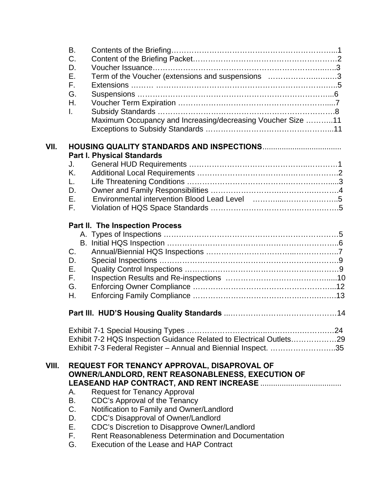|       | B.          |                                                                     |
|-------|-------------|---------------------------------------------------------------------|
|       | C.          |                                                                     |
|       | D.          |                                                                     |
|       | Е.          | Term of the Voucher (extensions and suspensions 3                   |
|       | F.          |                                                                     |
|       | G.          |                                                                     |
|       | Η.          |                                                                     |
|       | I.          |                                                                     |
|       |             | Maximum Occupancy and Increasing/decreasing Voucher Size 11         |
|       |             |                                                                     |
| VII.  |             |                                                                     |
|       |             | <b>Part I. Physical Standards</b>                                   |
|       | J.          |                                                                     |
|       | K.          |                                                                     |
|       | L.          |                                                                     |
|       | D.          |                                                                     |
|       | Е.          |                                                                     |
|       | F.          |                                                                     |
|       |             | Part II. The Inspection Process                                     |
|       |             |                                                                     |
|       |             |                                                                     |
|       | $C_{\cdot}$ |                                                                     |
|       | D.          |                                                                     |
|       | Ε.          |                                                                     |
|       | F.          |                                                                     |
|       | G.          |                                                                     |
|       | Η.          |                                                                     |
|       |             |                                                                     |
|       |             |                                                                     |
|       |             | Exhibit 7-2 HQS Inspection Guidance Related to Electrical Outlets29 |
|       |             | Exhibit 7-3 Federal Register - Annual and Biennial Inspect. 35      |
| VIII. |             | REQUEST FOR TENANCY APPROVAL, DISAPROVAL OF                         |
|       |             | OWNER/LANDLORD, RENT REASONABLENESS, EXECUTION OF                   |
|       |             |                                                                     |
|       | А.          | <b>Request for Tenancy Approval</b>                                 |
|       | В.          | CDC's Approval of the Tenancy                                       |
|       | C.          | Notification to Family and Owner/Landlord                           |
|       | D.          | CDC's Disapproval of Owner/Landlord                                 |
|       | Е.          | CDC's Discretion to Disapprove Owner/Landlord                       |
|       | F.          | Rent Reasonableness Determination and Documentation                 |
|       | G.          | Execution of the Lease and HAP Contract                             |
|       |             |                                                                     |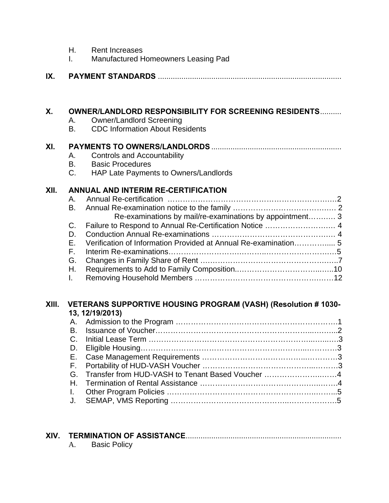| Η. | <b>Rent Increases</b> |
|----|-----------------------|
|    |                       |

I. Manufactured Homeowners Leasing Pad

| IX. |  |
|-----|--|
|-----|--|

#### **X. OWNER/LANDLORD RESPONSIBILITY FOR SCREENING RESIDENTS** ..........

- A. Owner/Landlord Screening
- B. CDC Information About Residents

## **XI. PAYMENTS TO OWNERS/LANDLORDS** .............................................................

- A. Controls and Accountability
- B. Basic Procedures<br>C. HAP Late Paymen
- HAP Late Payments to Owners/Landlords

## **XII. ANNUAL AND INTERIM RE-CERTIFICATION**

| Re-examinations by mail/re-examinations by appointment 3   |  |
|------------------------------------------------------------|--|
| C. Failure to Respond to Annual Re-Certification Notice  4 |  |
|                                                            |  |
|                                                            |  |
|                                                            |  |
|                                                            |  |
|                                                            |  |
|                                                            |  |

#### **Xlll. VETERANS SUPPORTIVE HOUSING PROGRAM (VASH) (Resolution # 1030- 13, 12/19/2013)**

|  | 19, 1 <i>2</i> /19/2019)                            |  |
|--|-----------------------------------------------------|--|
|  |                                                     |  |
|  |                                                     |  |
|  |                                                     |  |
|  |                                                     |  |
|  |                                                     |  |
|  |                                                     |  |
|  | G. Transfer from HUD-VASH to Tenant Based Voucher 4 |  |
|  |                                                     |  |
|  |                                                     |  |
|  |                                                     |  |
|  |                                                     |  |

# **XIV. TERMINATION OF ASSISTANCE** .........................................................................

A. Basic Policy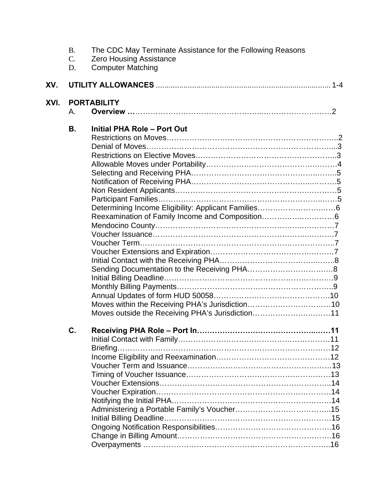|      | <b>B.</b><br>$C$ .<br>D. | The CDC May Terminate Assistance for the Following Reasons<br><b>Zero Housing Assistance</b><br><b>Computer Matching</b> |  |
|------|--------------------------|--------------------------------------------------------------------------------------------------------------------------|--|
| XV.  |                          |                                                                                                                          |  |
| XVI. | Α.                       | <b>PORTABILITY</b>                                                                                                       |  |
|      | В.                       | <b>Initial PHA Role - Port Out</b><br>Moves outside the Receiving PHA's Jurisdiction11                                   |  |
|      | С.                       | .11                                                                                                                      |  |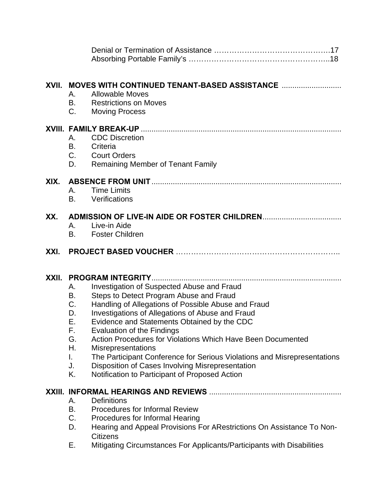| XVII. | MOVES WITH CONTINUED TENANT-BASED ASSISTANCE<br><b>Allowable Moves</b><br>А.<br>В.<br><b>Restrictions on Moves</b><br>$C_{\cdot}$<br><b>Moving Process</b>                                                                                                                                                                                                                                                                                                                                                                                                                                                                           |
|-------|--------------------------------------------------------------------------------------------------------------------------------------------------------------------------------------------------------------------------------------------------------------------------------------------------------------------------------------------------------------------------------------------------------------------------------------------------------------------------------------------------------------------------------------------------------------------------------------------------------------------------------------|
|       | <b>CDC</b> Discretion<br>А.<br>В.<br>Criteria<br>$C_{1}$<br><b>Court Orders</b><br>D.<br><b>Remaining Member of Tenant Family</b>                                                                                                                                                                                                                                                                                                                                                                                                                                                                                                    |
| XIX.  | <b>Time Limits</b><br>А.<br>B.<br>Verifications                                                                                                                                                                                                                                                                                                                                                                                                                                                                                                                                                                                      |
| XX.   | Live-in Aide<br>$\mathsf{A}_{-}$<br><b>B.</b><br><b>Foster Children</b>                                                                                                                                                                                                                                                                                                                                                                                                                                                                                                                                                              |
| XXI.  |                                                                                                                                                                                                                                                                                                                                                                                                                                                                                                                                                                                                                                      |
| XXII. | Investigation of Suspected Abuse and Fraud<br>А.<br>Steps to Detect Program Abuse and Fraud<br>В.<br>C.<br>Handling of Allegations of Possible Abuse and Fraud<br>D.<br>Investigations of Allegations of Abuse and Fraud<br>Е.<br>Evidence and Statements Obtained by the CDC<br>F.<br>Evaluation of the Findings<br><b>Action Procedures for Violations Which Have Been Documented</b><br>G.<br>Η.<br><b>Misrepresentations</b><br>The Participant Conference for Serious Violations and Misrepresentations<br>I.<br>Disposition of Cases Involving Misrepresentation<br>J.<br>Κ.<br>Notification to Participant of Proposed Action |
|       | <b>Definitions</b><br>А.<br>В.<br><b>Procedures for Informal Review</b><br>C.<br>Procedures for Informal Hearing<br>D.<br>Hearing and Appeal Provisions For ARestrictions On Assistance To Non-<br><b>Citizens</b><br>Mitigating Circumstances For Applicants/Participants with Disabilities<br>Е.                                                                                                                                                                                                                                                                                                                                   |